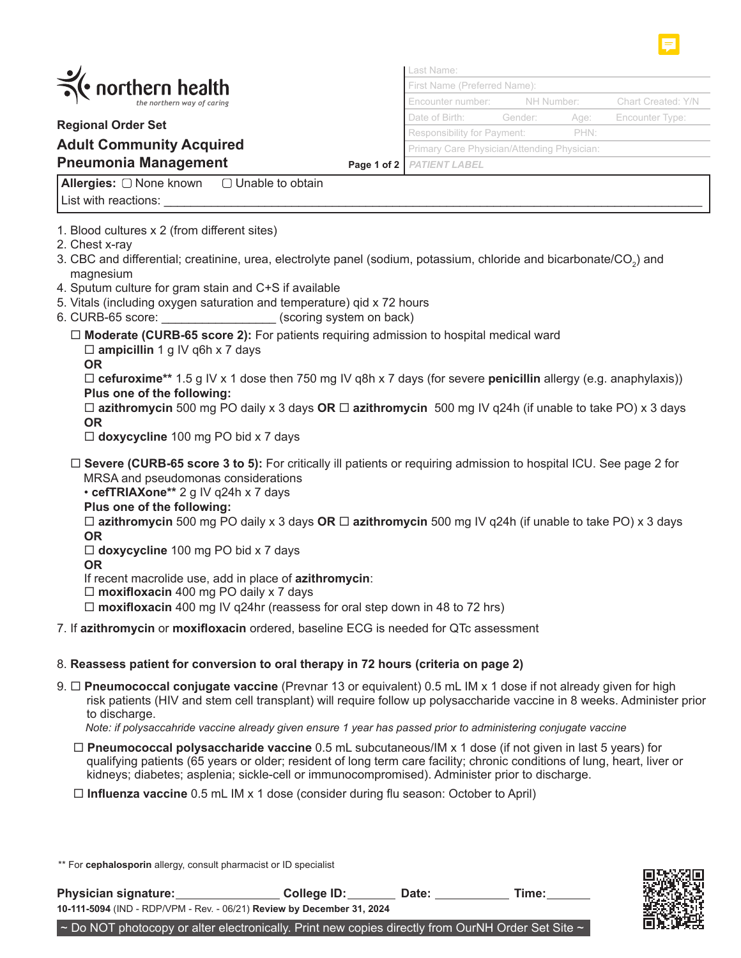

**Allergies:** List with reactions:  $\Box$  Unable to obtain

1. Blood cultures x 2 (from different sites)

2. Chest x-ray

- 3. CBC and differential; creatinine, urea, electrolyte panel (sodium, potassium, chloride and bicarbonate/CO<sub>2</sub>) and magnesium
- 4. Sputum culture for gram stain and C+S if available
- 5. Vitals (including oxygen saturation and temperature) qid x 72 hours
- 6. CURB-65 score:  $(scoring system on back)$ 
	- **Moderate (CURB-65 score 2):** For patients requiring admission to hospital medical ward

**ampicillin** 1 g IV q6h x 7 days

**OR**

 **cefuroxime\*\*** 1.5 g IV x 1 dose then 750 mg IV q8h x 7 days (for severe **penicillin** allergy (e.g. anaphylaxis)) **Plus one of the following:**

 **azithromycin** 500 mg PO daily x 3 days **OR azithromycin** 500 mg IV q24h (if unable to take PO) x 3 days **OR**

**doxycycline** 100 mg PO bid x 7 days

 **Severe (CURB-65 score 3 to 5):** For critically ill patients or requiring admission to hospital ICU. See page 2 for MRSA and pseudomonas considerations

• **cefTRIAXone\*\*** 2 g IV q24h x 7 days

**Plus one of the following:**

 **azithromycin** 500 mg PO daily x 3 days **OR azithromycin** 500 mg IV q24h (if unable to take PO) x 3 days **OR**

**doxycycline** 100 mg PO bid x 7 days

**OR**

If recent macrolide use, add in place of **azithromycin**:

**moxifloxacin** 400 mg PO daily x 7 days

**moxifloxacin** 400 mg IV q24hr (reassess for oral step down in 48 to 72 hrs)

7. If **azithromycin** or **moxifloxacin** ordered, baseline ECG is needed for QTc assessment

## 8. **Reassess patient for conversion to oral therapy in 72 hours (criteria on page 2)**

9. **Pneumococcal conjugate vaccine** (Prevnar 13 or equivalent) 0.5 mL IM x 1 dose if not already given for high risk patients (HIV and stem cell transplant) will require follow up polysaccharide vaccine in 8 weeks. Administer prior to discharge.

 *Note: if polysaccahride vaccine already given ensure 1 year has passed prior to administering conjugate vaccine*

- **Pneumococcal polysaccharide vaccine** 0.5 mL subcutaneous/IM x 1 dose (if not given in last 5 years) for qualifying patients (65 years or older; resident of long term care facility; chronic conditions of lung, heart, liver or kidneys; diabetes; asplenia; sickle-cell or immunocompromised). Administer prior to discharge.
- **Influenza vaccine** 0.5 mL IM x 1 dose (consider during flu season: October to April)

\*\* For **cephalosporin** allergy, consult pharmacist or ID specialist

**10-111-5094** (IND - RDP/VPM - Rev. - 06/21) **Review by December 31, 2024** Physician signature: College ID: Date: Time:  $\sim$  Do NOT photocopy or alter electronically. Print new copies directly from OurNH Order Set Site  $\sim$